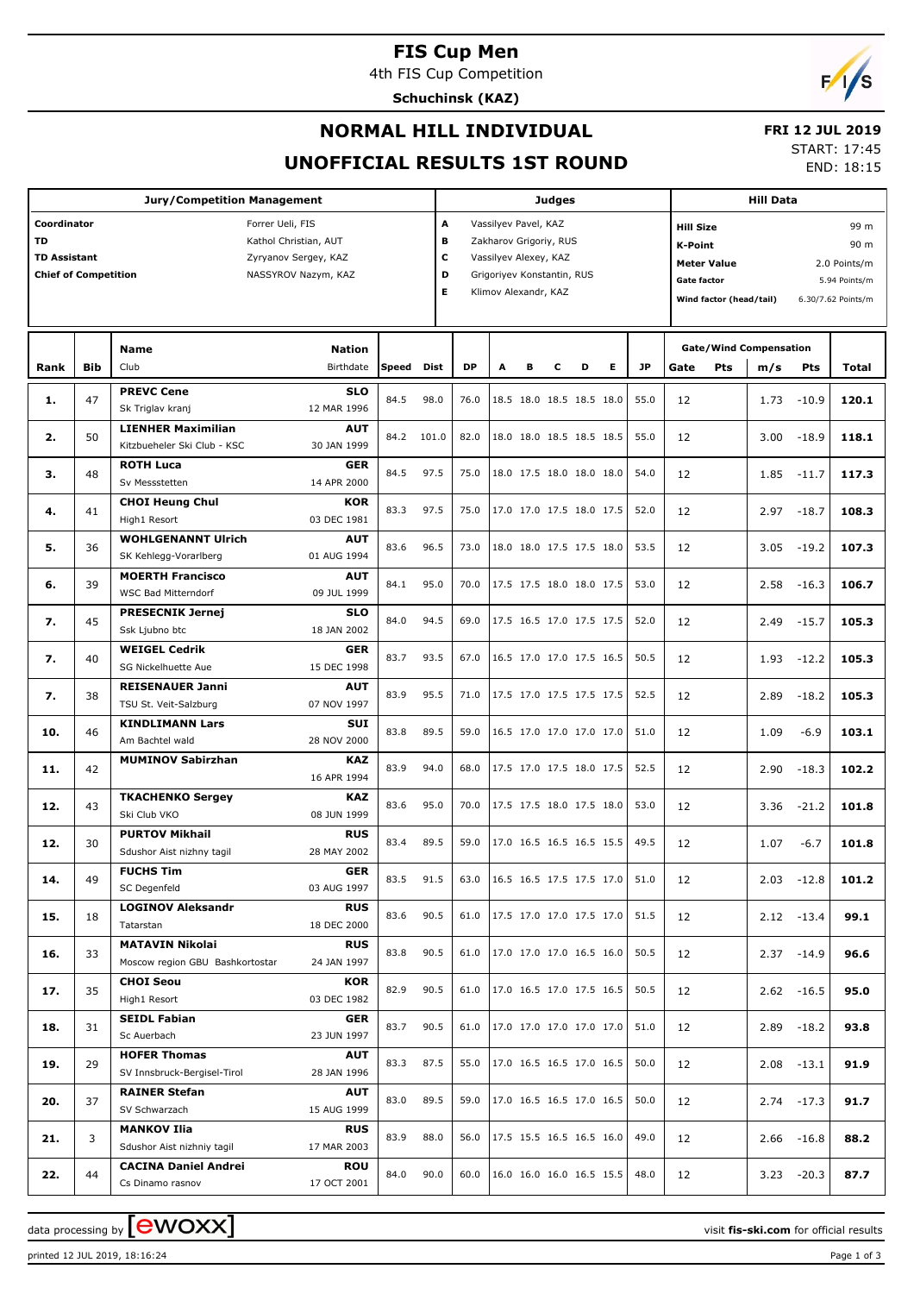## **FIS Cup Men**

4th FIS Cup Competition

**Schuchinsk (KAZ)**



#### **NORMAL HILL INDIVIDUAL**

 **FRI 12 JUL 2019** START: 17:45

END: 18:15

# **UNOFFICIAL RESULTS 1ST ROUND**

| <b>Jury/Competition Management</b>                                                                                                                                  |            |                                                           |                           |       |       |                                                                                                                                                        | Judges                                                         |   |   |                          |                          |                                                                                                                                                                    |      | <b>Hill Data</b> |      |               |       |
|---------------------------------------------------------------------------------------------------------------------------------------------------------------------|------------|-----------------------------------------------------------|---------------------------|-------|-------|--------------------------------------------------------------------------------------------------------------------------------------------------------|----------------------------------------------------------------|---|---|--------------------------|--------------------------|--------------------------------------------------------------------------------------------------------------------------------------------------------------------|------|------------------|------|---------------|-------|
| Coordinator<br>Forrer Ueli, FIS<br>TD<br>Kathol Christian, AUT<br><b>TD Assistant</b><br>Zyryanov Sergey, KAZ<br><b>Chief of Competition</b><br>NASSYROV Nazym, KAZ |            |                                                           |                           |       |       | A<br>Vassilyev Pavel, KAZ<br>в<br>Zakharov Grigoriy, RUS<br>c<br>Vassilyev Alexey, KAZ<br>D<br>Grigoriyev Konstantin, RUS<br>Е<br>Klimov Alexandr, KAZ |                                                                |   |   |                          |                          | 99 m<br><b>Hill Size</b><br>90 m<br>K-Point<br>2.0 Points/m<br><b>Meter Value</b><br>Gate factor<br>5.94 Points/m<br>Wind factor (head/tail)<br>6.30/7.62 Points/m |      |                  |      |               |       |
|                                                                                                                                                                     |            | <b>Name</b>                                               |                           |       |       |                                                                                                                                                        |                                                                |   |   |                          |                          | <b>Gate/Wind Compensation</b>                                                                                                                                      |      |                  |      |               |       |
| Rank                                                                                                                                                                | <b>Bib</b> | Club                                                      | <b>Birthdate</b>          | Speed | Dist  | <b>DP</b>                                                                                                                                              | A                                                              | в | c | D                        | Е                        | <b>JP</b>                                                                                                                                                          | Gate | <b>Pts</b>       | m/s  | <b>Pts</b>    | Total |
| 1.                                                                                                                                                                  | 47         | <b>PREVC Cene</b>                                         | <b>SLO</b>                | 84.5  | 98.0  | 76.0                                                                                                                                                   |                                                                |   |   | 18.5 18.0 18.5 18.5 18.0 |                          | 55.0                                                                                                                                                               | 12   |                  | 1.73 | $-10.9$       | 120.1 |
|                                                                                                                                                                     |            | Sk Triglav kranj<br><b>LIENHER Maximilian</b>             | 12 MAR 1996<br><b>AUT</b> |       |       |                                                                                                                                                        |                                                                |   |   |                          |                          |                                                                                                                                                                    |      |                  |      |               |       |
| 2.                                                                                                                                                                  | 50         | Kitzbueheler Ski Club - KSC                               | 30 JAN 1999               | 84.2  | 101.0 | 82.0                                                                                                                                                   |                                                                |   |   | 18.0 18.0 18.5 18.5 18.5 |                          | 55.0                                                                                                                                                               | 12   |                  | 3.00 | $-18.9$       | 118.1 |
| з.                                                                                                                                                                  | 48         | <b>ROTH Luca</b><br>Sv Messstetten                        | <b>GER</b><br>14 APR 2000 | 84.5  | 97.5  | 75.0                                                                                                                                                   |                                                                |   |   | 18.0 17.5 18.0 18.0 18.0 |                          | 54.0                                                                                                                                                               | 12   |                  | 1.85 | $-11.7$       | 117.3 |
|                                                                                                                                                                     |            | <b>CHOI Heung Chul</b>                                    | <b>KOR</b>                | 83.3  | 97.5  | 75.0                                                                                                                                                   |                                                                |   |   | 17.0 17.0 17.5 18.0 17.5 |                          |                                                                                                                                                                    |      |                  |      |               |       |
| 4.                                                                                                                                                                  | 41         | High1 Resort                                              | 03 DEC 1981               |       |       |                                                                                                                                                        |                                                                |   |   |                          |                          | 52.0                                                                                                                                                               | 12   |                  | 2.97 | $-18.7$       | 108.3 |
| 5.                                                                                                                                                                  | 36         | <b>WOHLGENANNT Ulrich</b><br>SK Kehlegg-Vorarlberg        | <b>AUT</b><br>01 AUG 1994 | 83.6  | 96.5  | 73.0                                                                                                                                                   |                                                                |   |   | 18.0 18.0 17.5 17.5 18.0 |                          | 53.5                                                                                                                                                               | 12   |                  | 3.05 | $-19.2$       | 107.3 |
| 6.                                                                                                                                                                  | 39         | <b>MOERTH Francisco</b><br><b>WSC Bad Mitterndorf</b>     | <b>AUT</b><br>09 JUL 1999 | 84.1  | 95.0  | 70.0                                                                                                                                                   |                                                                |   |   | 17.5 17.5 18.0 18.0 17.5 |                          | 53.0                                                                                                                                                               | 12   |                  | 2.58 | $-16.3$       | 106.7 |
| 7.                                                                                                                                                                  | 45         | <b>PRESECNIK Jernej</b>                                   | <b>SLO</b>                | 84.0  | 94.5  | 69.0                                                                                                                                                   |                                                                |   |   | 17.5 16.5 17.0 17.5 17.5 |                          | 52.0                                                                                                                                                               | 12   |                  | 2.49 | $-15.7$       | 105.3 |
|                                                                                                                                                                     |            | Ssk Ljubno btc<br><b>WEIGEL Cedrik</b>                    | 18 JAN 2002<br>GER        |       |       |                                                                                                                                                        |                                                                |   |   |                          |                          |                                                                                                                                                                    |      |                  |      |               |       |
| 7.                                                                                                                                                                  | 40         | SG Nickelhuette Aue                                       | 15 DEC 1998               | 83.7  | 93.5  | 67.0                                                                                                                                                   |                                                                |   |   | 16.5 17.0 17.0 17.5 16.5 |                          | 50.5                                                                                                                                                               | 12   |                  | 1.93 | $-12.2$       | 105.3 |
| 7.                                                                                                                                                                  | 38         | <b>REISENAUER Janni</b><br>TSU St. Veit-Salzburg          | <b>AUT</b><br>07 NOV 1997 | 83.9  | 95.5  | 71.0                                                                                                                                                   |                                                                |   |   | 17.5 17.0 17.5 17.5 17.5 |                          | 52.5                                                                                                                                                               | 12   |                  | 2.89 | $-18.2$       | 105.3 |
| 10.                                                                                                                                                                 | 46         | <b>KINDLIMANN Lars</b>                                    | SUI                       | 83.8  | 89.5  | 59.0                                                                                                                                                   |                                                                |   |   | 16.5 17.0 17.0 17.0 17.0 |                          | 51.0                                                                                                                                                               | 12   |                  | 1.09 | $-6.9$        | 103.1 |
| 11.                                                                                                                                                                 | 42         | Am Bachtel wald<br><b>MUMINOV Sabirzhan</b>               | 28 NOV 2000<br>KAZ        | 83.9  | 94.0  | 68.0                                                                                                                                                   |                                                                |   |   | 17.5 17.0 17.5 18.0 17.5 |                          | 52.5                                                                                                                                                               | 12   |                  | 2.90 | $-18.3$       | 102.2 |
|                                                                                                                                                                     |            | <b>TKACHENKO Sergey</b>                                   | 16 APR 1994<br>KAZ        |       |       |                                                                                                                                                        |                                                                |   |   |                          |                          |                                                                                                                                                                    |      |                  |      |               |       |
| 12.                                                                                                                                                                 | 43         | Ski Club VKO                                              | 08 JUN 1999               | 83.6  | 95.0  | 70.0                                                                                                                                                   |                                                                |   |   | 17.5 17.5 18.0 17.5 18.0 |                          | 53.0                                                                                                                                                               | 12   |                  | 3.36 | $-21.2$       | 101.8 |
| 12.                                                                                                                                                                 | 30         | <b>PURTOV Mikhail</b><br>Sdushor Aist nizhny tagil        | <b>RUS</b><br>28 MAY 2002 | 83.4  | 89.5  | 59.0                                                                                                                                                   |                                                                |   |   | 17.0 16.5 16.5 16.5 15.5 |                          | 49.5                                                                                                                                                               | 12   |                  | 1.07 | $-6.7$        | 101.8 |
|                                                                                                                                                                     |            | <b>FUCHS Tim</b>                                          | <b>GER</b>                |       |       |                                                                                                                                                        |                                                                |   |   |                          |                          |                                                                                                                                                                    |      |                  |      |               |       |
| 14.                                                                                                                                                                 | 49         | SC Degenfeld                                              | 03 AUG 1997               | 83.5  | 91.5  | 63.0                                                                                                                                                   | $\vert 16.5 \vert 16.5 \vert 17.5 \vert 17.5 \vert 17.0 \vert$ |   |   |                          |                          | 51.0                                                                                                                                                               | 12   |                  | 2.03 | $-12.8$       | 101.2 |
| 15.                                                                                                                                                                 | 18         | <b>LOGINOV Aleksandr</b><br>Tatarstan                     | <b>RUS</b><br>18 DEC 2000 | 83.6  | 90.5  | 61.0                                                                                                                                                   |                                                                |   |   |                          | 17.5 17.0 17.0 17.5 17.0 | 51.5                                                                                                                                                               | 12   |                  |      | $2.12 - 13.4$ | 99.1  |
| 16.                                                                                                                                                                 | 33         | <b>MATAVIN Nikolai</b><br>Moscow region GBU Bashkortostar | <b>RUS</b><br>24 JAN 1997 | 83.8  | 90.5  | 61.0                                                                                                                                                   |                                                                |   |   |                          | 17.0 17.0 17.0 16.5 16.0 | 50.5                                                                                                                                                               | 12   |                  |      | $2.37 - 14.9$ | 96.6  |
|                                                                                                                                                                     | 35         | <b>CHOI Seou</b>                                          | KOR                       | 82.9  |       | 61.0                                                                                                                                                   |                                                                |   |   | 17.0 16.5 17.0 17.5 16.5 |                          | 50.5                                                                                                                                                               |      |                  |      |               | 95.0  |
| 17.                                                                                                                                                                 |            | High1 Resort                                              | 03 DEC 1982               |       | 90.5  |                                                                                                                                                        |                                                                |   |   |                          |                          |                                                                                                                                                                    | 12   |                  |      | $2.62 - 16.5$ |       |
| 18.                                                                                                                                                                 | 31         | <b>SEIDL Fabian</b><br>Sc Auerbach                        | <b>GER</b><br>23 JUN 1997 | 83.7  | 90.5  | 61.0                                                                                                                                                   |                                                                |   |   |                          | 17.0 17.0 17.0 17.0 17.0 | 51.0                                                                                                                                                               | 12   |                  | 2.89 | $-18.2$       | 93.8  |
| 19.                                                                                                                                                                 | 29         | <b>HOFER Thomas</b><br>SV Innsbruck-Bergisel-Tirol        | <b>AUT</b><br>28 JAN 1996 | 83.3  | 87.5  | 55.0                                                                                                                                                   |                                                                |   |   |                          | 17.0 16.5 16.5 17.0 16.5 | 50.0                                                                                                                                                               | 12   |                  | 2.08 | $-13.1$       | 91.9  |
| 20.                                                                                                                                                                 | 37         | <b>RAINER Stefan</b>                                      | <b>AUT</b>                | 83.0  | 89.5  | 59.0                                                                                                                                                   |                                                                |   |   | 17.0 16.5 16.5 17.0 16.5 |                          | 50.0                                                                                                                                                               | 12   |                  | 2.74 | $-17.3$       | 91.7  |
|                                                                                                                                                                     |            | SV Schwarzach<br><b>MANKOV Ilia</b>                       | 15 AUG 1999<br><b>RUS</b> |       |       |                                                                                                                                                        |                                                                |   |   |                          |                          |                                                                                                                                                                    |      |                  |      |               |       |
| 21.                                                                                                                                                                 | 3          | Sdushor Aist nizhniy tagil                                | 17 MAR 2003               | 83.9  | 88.0  | 56.0                                                                                                                                                   |                                                                |   |   |                          | 17.5 15.5 16.5 16.5 16.0 | 49.0                                                                                                                                                               | 12   |                  | 2.66 | $-16.8$       | 88.2  |
| 22.                                                                                                                                                                 | 44         | <b>CACINA Daniel Andrei</b><br>Cs Dinamo rasnov           | ROU<br>17 OCT 2001        | 84.0  | 90.0  | 60.0                                                                                                                                                   |                                                                |   |   |                          | 16.0 16.0 16.0 16.5 15.5 | 48.0                                                                                                                                                               | 12   |                  | 3.23 | $-20.3$       | 87.7  |

data processing by **CWOXX** and the set of the set of the set of the set of the set of the set of the set of the set of the set of the set of the set of the set of the set of the set of the set of the set of the set of the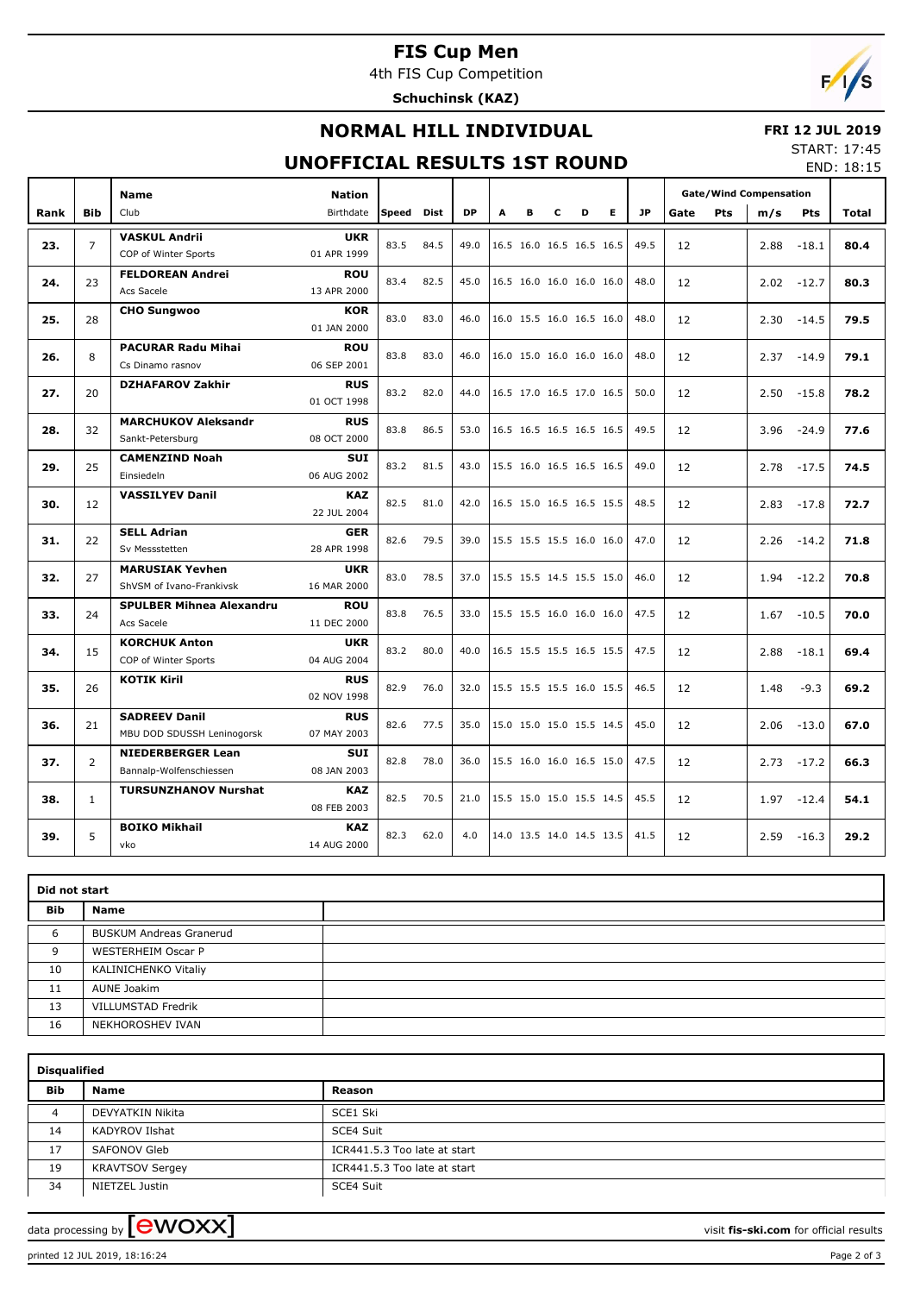# **FIS Cup Men**

4th FIS Cup Competition

**Schuchinsk (KAZ)**



## **NORMAL HILL INDIVIDUAL**

#### **FRI 12 JUL 2019**

#### **UNOFFICIAL RESULTS 1ST ROUND**

START: 17:45 END: 18:15

|      |                | <b>Name</b>                                         | <b>Nation</b>             |            |      |           |   |   |   |                          |    |           | <b>Gate/Wind Compensation</b> |            |      |               |              |
|------|----------------|-----------------------------------------------------|---------------------------|------------|------|-----------|---|---|---|--------------------------|----|-----------|-------------------------------|------------|------|---------------|--------------|
| Rank | <b>Bib</b>     | Club                                                | Birthdate                 | Speed Dist |      | <b>DP</b> | A | в | c | D                        | E. | <b>JP</b> | Gate                          | <b>Pts</b> | m/s  | <b>Pts</b>    | <b>Total</b> |
| 23.  | $\overline{7}$ | <b>VASKUL Andrii</b><br>COP of Winter Sports        | <b>UKR</b><br>01 APR 1999 | 83.5       | 84.5 | 49.0      |   |   |   | 16.5 16.0 16.5 16.5 16.5 |    | 49.5      | 12                            |            | 2.88 | $-18.1$       | 80.4         |
| 24.  | 23             | <b>FELDOREAN Andrei</b><br>Acs Sacele               | <b>ROU</b><br>13 APR 2000 | 83.4       | 82.5 | 45.0      |   |   |   | 16.5 16.0 16.0 16.0 16.0 |    | 48.0      | 12                            |            |      | $2.02 - 12.7$ | 80.3         |
| 25.  | 28             | <b>CHO Sungwoo</b>                                  | <b>KOR</b><br>01 JAN 2000 | 83.0       | 83.0 | 46.0      |   |   |   | 16.0 15.5 16.0 16.5 16.0 |    | 48.0      | 12                            |            | 2.30 | $-14.5$       | 79.5         |
| 26.  | 8              | <b>PACURAR Radu Mihai</b><br>Cs Dinamo rasnov       | <b>ROU</b><br>06 SEP 2001 | 83.8       | 83.0 | 46.0      |   |   |   | 16.0 15.0 16.0 16.0 16.0 |    | 48.0      | 12                            |            | 2.37 | $-14.9$       | 79.1         |
| 27.  | 20             | <b>DZHAFAROV Zakhir</b>                             | <b>RUS</b><br>01 OCT 1998 | 83.2       | 82.0 | 44.0      |   |   |   | 16.5 17.0 16.5 17.0 16.5 |    | 50.0      | 12                            |            | 2.50 | $-15.8$       | 78.2         |
| 28.  | 32             | <b>MARCHUKOV Aleksandr</b><br>Sankt-Petersburg      | <b>RUS</b><br>08 OCT 2000 | 83.8       | 86.5 | 53.0      |   |   |   | 16.5 16.5 16.5 16.5 16.5 |    | 49.5      | 12                            |            | 3.96 | $-24.9$       | 77.6         |
| 29.  | 25             | <b>CAMENZIND Noah</b><br>Einsiedeln                 | <b>SUI</b><br>06 AUG 2002 | 83.2       | 81.5 | 43.0      |   |   |   | 15.5 16.0 16.5 16.5 16.5 |    | 49.0      | 12                            |            | 2.78 | $-17.5$       | 74.5         |
| 30.  | 12             | <b>VASSILYEV Danil</b>                              | <b>KAZ</b><br>22 JUL 2004 | 82.5       | 81.0 | 42.0      |   |   |   | 16.5 15.0 16.5 16.5 15.5 |    | 48.5      | 12                            |            | 2.83 | $-17.8$       | 72.7         |
| 31.  | 22             | <b>SELL Adrian</b><br>Sv Messstetten                | <b>GER</b><br>28 APR 1998 | 82.6       | 79.5 | 39.0      |   |   |   | 15.5 15.5 15.5 16.0 16.0 |    | 47.0      | 12                            |            | 2.26 | $-14.2$       | 71.8         |
| 32.  | 27             | <b>MARUSIAK Yevhen</b><br>ShVSM of Ivano-Frankivsk  | <b>UKR</b><br>16 MAR 2000 | 83.0       | 78.5 | 37.0      |   |   |   | 15.5 15.5 14.5 15.5 15.0 |    | 46.0      | 12                            |            | 1.94 | $-12.2$       | 70.8         |
| 33.  | 24             | <b>SPULBER Mihnea Alexandru</b><br>Acs Sacele       | ROU<br>11 DEC 2000        | 83.8       | 76.5 | 33.0      |   |   |   | 15.5 15.5 16.0 16.0 16.0 |    | 47.5      | 12                            |            | 1.67 | $-10.5$       | 70.0         |
| 34.  | 15             | <b>KORCHUK Anton</b><br>COP of Winter Sports        | <b>UKR</b><br>04 AUG 2004 | 83.2       | 80.0 | 40.0      |   |   |   | 16.5 15.5 15.5 16.5 15.5 |    | 47.5      | 12                            |            | 2.88 | $-18.1$       | 69.4         |
| 35.  | 26             | <b>KOTIK Kiril</b>                                  | <b>RUS</b><br>02 NOV 1998 | 82.9       | 76.0 | 32.0      |   |   |   | 15.5 15.5 15.5 16.0 15.5 |    | 46.5      | 12                            |            | 1.48 | $-9.3$        | 69.2         |
| 36.  | 21             | <b>SADREEV Danil</b><br>MBU DOD SDUSSH Leninogorsk  | <b>RUS</b><br>07 MAY 2003 | 82.6       | 77.5 | 35.0      |   |   |   | 15.0 15.0 15.0 15.5 14.5 |    | 45.0      | 12                            |            | 2.06 | $-13.0$       | 67.0         |
| 37.  | 2              | <b>NIEDERBERGER Lean</b><br>Bannalp-Wolfenschiessen | <b>SUI</b><br>08 JAN 2003 | 82.8       | 78.0 | 36.0      |   |   |   | 15.5 16.0 16.0 16.5 15.0 |    | 47.5      | 12                            |            | 2.73 | $-17.2$       | 66.3         |
| 38.  | $\mathbf{1}$   | <b>TURSUNZHANOV Nurshat</b>                         | <b>KAZ</b><br>08 FEB 2003 | 82.5       | 70.5 | 21.0      |   |   |   | 15.5 15.0 15.0 15.5 14.5 |    | 45.5      | 12                            |            | 1.97 | $-12.4$       | 54.1         |
| 39.  | 5              | <b>BOIKO Mikhail</b><br>vko                         | <b>KAZ</b><br>14 AUG 2000 | 82.3       | 62.0 | 4.0       |   |   |   | 14.0 13.5 14.0 14.5 13.5 |    | 41.5      | 12                            |            | 2.59 | $-16.3$       | 29.2         |

|     | Did not start                  |  |  |  |  |  |  |  |  |  |
|-----|--------------------------------|--|--|--|--|--|--|--|--|--|
| Bib | Name                           |  |  |  |  |  |  |  |  |  |
| 6   | <b>BUSKUM Andreas Granerud</b> |  |  |  |  |  |  |  |  |  |
| 9   | <b>WESTERHEIM Oscar P</b>      |  |  |  |  |  |  |  |  |  |
| 10  | KALINICHENKO Vitaliy           |  |  |  |  |  |  |  |  |  |
| 11  | AUNE Joakim                    |  |  |  |  |  |  |  |  |  |
| 13  | <b>VILLUMSTAD Fredrik</b>      |  |  |  |  |  |  |  |  |  |
| 16  | NEKHOROSHEV IVAN               |  |  |  |  |  |  |  |  |  |

|     | <b>Disqualified</b>    |                              |  |  |  |  |  |  |  |  |  |
|-----|------------------------|------------------------------|--|--|--|--|--|--|--|--|--|
| Bib | <b>Name</b>            | Reason                       |  |  |  |  |  |  |  |  |  |
| 4   | DEVYATKIN Nikita       | SCE1 Ski                     |  |  |  |  |  |  |  |  |  |
| 14  | KADYROV Ilshat         | SCE4 Suit                    |  |  |  |  |  |  |  |  |  |
| 17  | SAFONOV Gleb           | ICR441.5.3 Too late at start |  |  |  |  |  |  |  |  |  |
| 19  | <b>KRAVTSOV Sergey</b> | ICR441.5.3 Too late at start |  |  |  |  |  |  |  |  |  |
| 34  | NIETZEL Justin         | SCE4 Suit                    |  |  |  |  |  |  |  |  |  |

data processing by **CWOXX**  $\blacksquare$